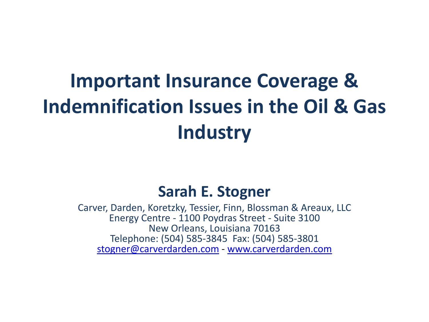#### **Important Insurance Coverage & Indemnification Issues in the Oil & Gas Industry**

#### **Sarah E. Stogner**

Carver, Darden, Koretzky, Tessier, Finn, Blossman & Areaux, LLC Energy Centre - 1100 Poydras Street - Suite 3100 New Orleans, Louisiana 70163 Telephone: (504) 585-3845 Fax: (504) 585-3801 [stogner@carverdarden.com](mailto:stogner@carverdarden.com) - [www.carverdarden.com](http://www.carverdarden.com/)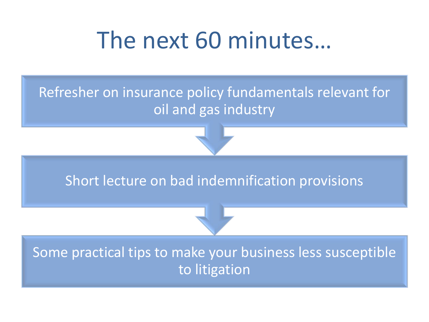### The next 60 minutes…

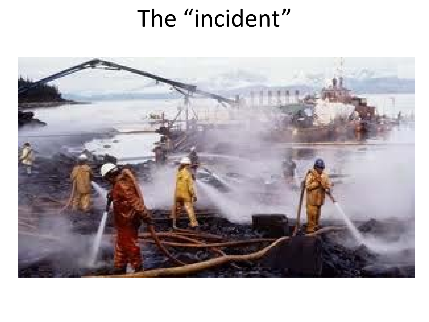# The "incident"

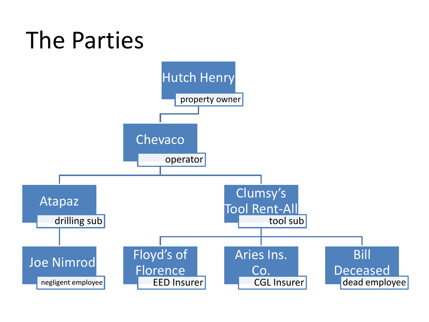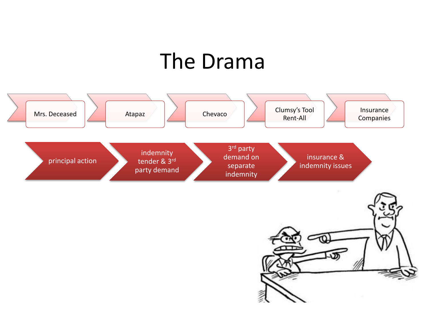#### The Drama

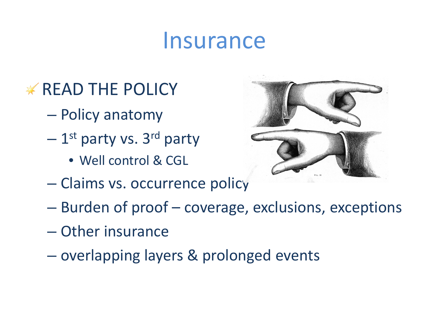#### **Insurance**

#### $*$  READ THE POLICY

- Policy anatomy
- $-1$ <sup>st</sup> party vs. 3<sup>rd</sup> party
	- Well control & CGL
- Claims vs. occurrence policy
- Burden of proof coverage, exclusions, exceptions
- Other insurance
- overlapping layers & prolonged events

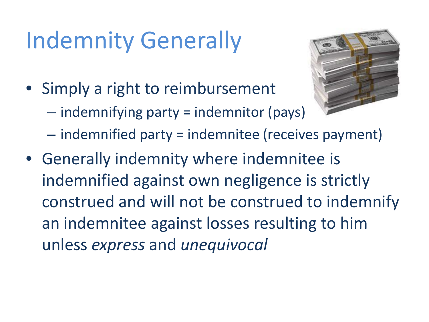## Indemnity Generally

- Simply a right to reimbursement
	- indemnifying party = indemnitor (pays)



- indemnified party = indemnitee (receives payment)
- Generally indemnity where indemnitee is indemnified against own negligence is strictly construed and will not be construed to indemnify an indemnitee against losses resulting to him unless *express* and *unequivocal*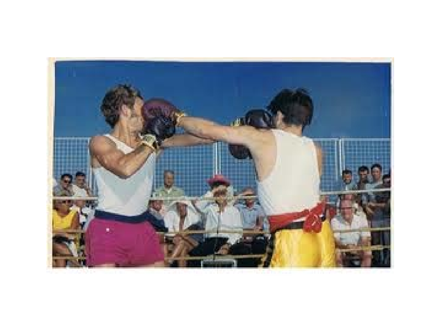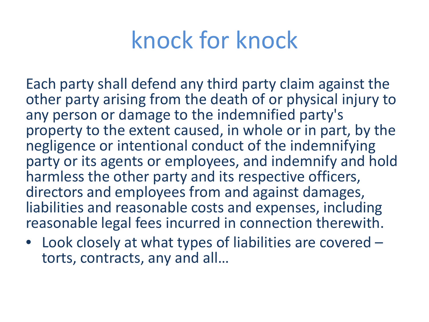### knock for knock

Each party shall defend any third party claim against the other party arising from the death of or physical injury to any person or damage to the indemnified party's property to the extent caused, in whole or in part, by the negligence or intentional conduct of the indemnifying party or its agents or employees, and indemnify and hold harmless the other party and its respective officers, directors and employees from and against damages, liabilities and reasonable costs and expenses, including reasonable legal fees incurred in connection therewith.

• Look closely at what types of liabilities are covered – torts, contracts, any and all…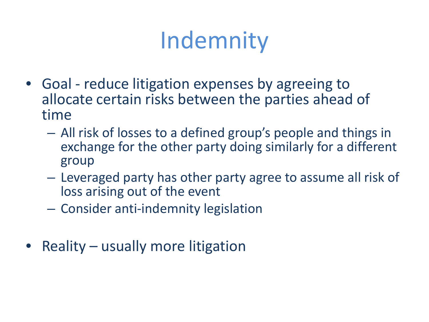# Indemnity

- Goal reduce litigation expenses by agreeing to allocate certain risks between the parties ahead of time
	- All risk of losses to a defined group's people and things in exchange for the other party doing similarly for a different group
	- Leveraged party has other party agree to assume all risk of loss arising out of the event
	- Consider anti-indemnity legislation
- Reality usually more litigation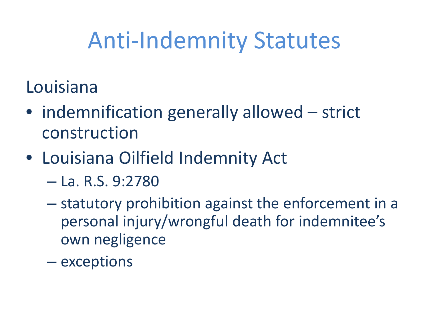### Anti-Indemnity Statutes

Louisiana

- indemnification generally allowed strict construction
- Louisiana Oilfield Indemnity Act
	- La. R.S. 9:2780
	- statutory prohibition against the enforcement in a personal injury/wrongful death for indemnitee's own negligence
	- exceptions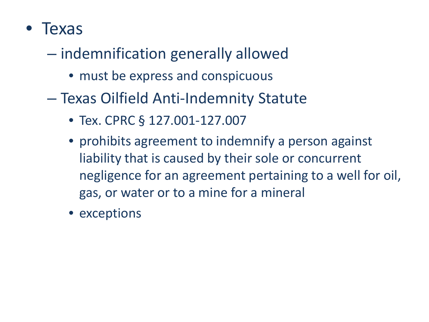#### • Texas

- indemnification generally allowed
	- must be express and conspicuous
- Texas Oilfield Anti-Indemnity Statute
	- Tex. CPRC § 127.001-127.007
	- prohibits agreement to indemnify a person against liability that is caused by their sole or concurrent negligence for an agreement pertaining to a well for oil, gas, or water or to a mine for a mineral
	- exceptions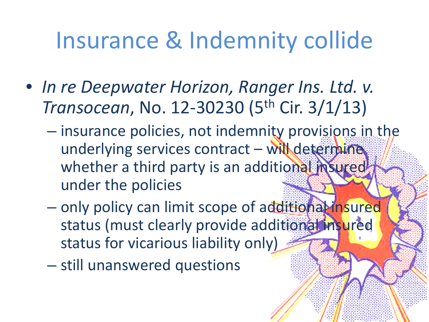#### Insurance & Indemnity collide

- *In re Deepwater Horizon, Ranger Ins. Ltd. v. Transocean*, No. 12-30230 (5th Cir. 3/1/13)
	- insurance policies, not indemnity provisions in the underlying services contract – will determine whether a third party is an additional insured under the policies
	- only policy can limit scope of additional insured status (must clearly provide additional insured status for vicarious liability only)
	- still unanswered questions